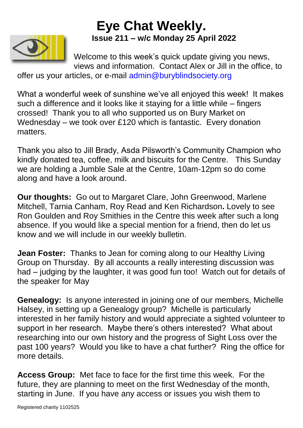## **Eye Chat Weekly. Issue 211 – w/c Monday 25 April 2022**



Welcome to this week's quick update giving you news, views and information. Contact Alex or Jill in the office, to

offer us your articles, or e-mail [admin@buryblindsociety.org](mailto:admin@buryblindsociety.org)

What a wonderful week of sunshine we've all enjoyed this week! It makes such a difference and it looks like it staying for a little while – fingers crossed! Thank you to all who supported us on Bury Market on Wednesday – we took over £120 which is fantastic. Every donation matters.

Thank you also to Jill Brady, Asda Pilsworth's Community Champion who kindly donated tea, coffee, milk and biscuits for the Centre. This Sunday we are holding a Jumble Sale at the Centre, 10am-12pm so do come along and have a look around.

**Our thoughts:** Go out to Margaret Clare, John Greenwood, Marlene Mitchell, Tarnia Canham, Roy Read and Ken Richardson**.** Lovely to see Ron Goulden and Roy Smithies in the Centre this week after such a long absence. If you would like a special mention for a friend, then do let us know and we will include in our weekly bulletin.

**Jean Foster:** Thanks to Jean for coming along to our Healthy Living Group on Thursday. By all accounts a really interesting discussion was had – judging by the laughter, it was good fun too! Watch out for details of the speaker for May

**Genealogy:** Is anyone interested in joining one of our members, Michelle Halsey, in setting up a Genealogy group? Michelle is particularly interested in her family history and would appreciate a sighted volunteer to support in her research. Maybe there's others interested? What about researching into our own history and the progress of Sight Loss over the past 100 years? Would you like to have a chat further? Ring the office for more details.

**Access Group:** Met face to face for the first time this week. For the future, they are planning to meet on the first Wednesday of the month, starting in June. If you have any access or issues you wish them to